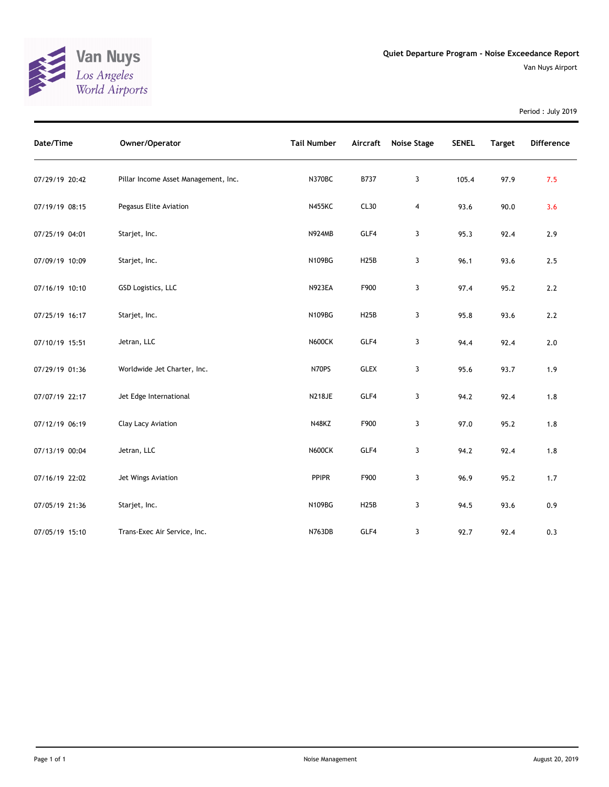

Period : July 2019

| Date/Time      | Owner/Operator                       | <b>Tail Number</b> | Aircraft    | Noise Stage    | <b>SENEL</b> | <b>Target</b> | <b>Difference</b> |
|----------------|--------------------------------------|--------------------|-------------|----------------|--------------|---------------|-------------------|
| 07/29/19 20:42 | Pillar Income Asset Management, Inc. | N370BC             | B737        | 3              | 105.4        | 97.9          | 7.5               |
| 07/19/19 08:15 | Pegasus Elite Aviation               | <b>N455KC</b>      | CL30        | $\overline{4}$ | 93.6         | 90.0          | 3.6               |
| 07/25/19 04:01 | Starjet, Inc.                        | <b>N924MB</b>      | GLF4        | 3              | 95.3         | 92.4          | 2.9               |
| 07/09/19 10:09 | Starjet, Inc.                        | N109BG             | <b>H25B</b> | 3              | 96.1         | 93.6          | 2.5               |
| 07/16/19 10:10 | GSD Logistics, LLC                   | <b>N923EA</b>      | F900        | 3              | 97.4         | 95.2          | 2.2               |
| 07/25/19 16:17 | Starjet, Inc.                        | N109BG             | <b>H25B</b> | 3              | 95.8         | 93.6          | $2.2\,$           |
| 07/10/19 15:51 | Jetran, LLC                          | <b>N600CK</b>      | GLF4        | 3              | 94.4         | 92.4          | $2.0$             |
| 07/29/19 01:36 | Worldwide Jet Charter, Inc.          | N70PS              | <b>GLEX</b> | 3              | 95.6         | 93.7          | 1.9               |
| 07/07/19 22:17 | Jet Edge International               | <b>N218JE</b>      | GLF4        | 3              | 94.2         | 92.4          | 1.8               |
| 07/12/19 06:19 | Clay Lacy Aviation                   | N48KZ              | F900        | 3              | 97.0         | 95.2          | 1.8               |
| 07/13/19 00:04 | Jetran, LLC                          | <b>N600CK</b>      | GLF4        | 3              | 94.2         | 92.4          | $1.8$             |
| 07/16/19 22:02 | Jet Wings Aviation                   | <b>PPIPR</b>       | F900        | 3              | 96.9         | 95.2          | 1.7               |
| 07/05/19 21:36 | Starjet, Inc.                        | N109BG             | <b>H25B</b> | 3              | 94.5         | 93.6          | 0.9               |
| 07/05/19 15:10 | Trans-Exec Air Service, Inc.         | N763DB             | GLF4        | 3              | 92.7         | 92.4          | 0.3               |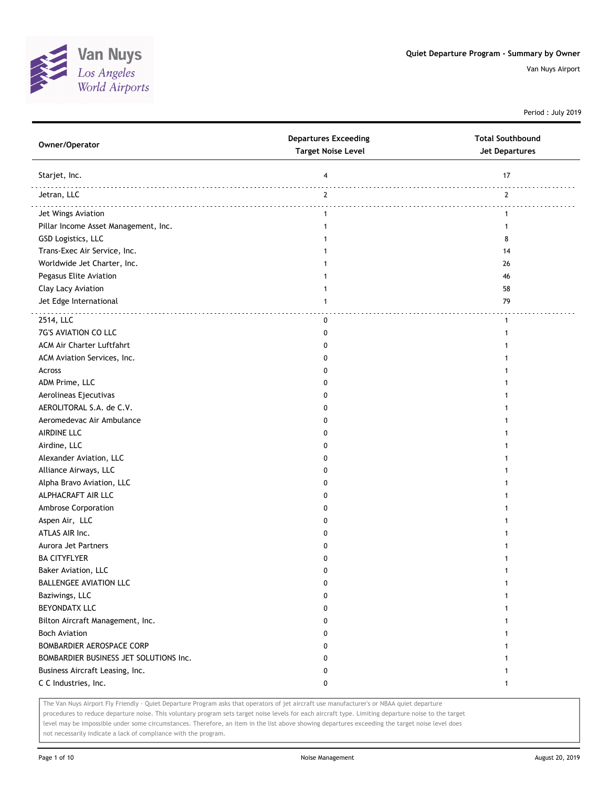

Period : July 2019

| Owner/Operator                         | <b>Departures Exceeding</b><br><b>Target Noise Level</b> | <b>Total Southbound</b><br>Jet Departures |
|----------------------------------------|----------------------------------------------------------|-------------------------------------------|
| Starjet, Inc.                          | 4                                                        | 17                                        |
| Jetran, LLC                            | $\mathbf{2}$                                             | $\mathbf{2}$                              |
| Jet Wings Aviation                     | $\mathbf{1}$                                             | 1                                         |
| Pillar Income Asset Management, Inc.   | 1                                                        |                                           |
| GSD Logistics, LLC                     | -1                                                       | 8                                         |
| Trans-Exec Air Service, Inc.           | 1                                                        | 14                                        |
| Worldwide Jet Charter, Inc.            | 1                                                        | 26                                        |
| Pegasus Elite Aviation                 | 1                                                        | 46                                        |
| Clay Lacy Aviation                     | $\mathbf{1}$                                             | 58                                        |
| Jet Edge International                 | 1                                                        | 79                                        |
| 2514, LLC                              | 0                                                        | 1                                         |
| 7G'S AVIATION CO LLC                   | 0                                                        |                                           |
| ACM Air Charter Luftfahrt              | 0                                                        |                                           |
| ACM Aviation Services, Inc.            | 0                                                        |                                           |
| Across                                 | 0                                                        |                                           |
| ADM Prime, LLC                         | 0                                                        |                                           |
| Aerolineas Ejecutivas                  | 0                                                        |                                           |
| AEROLITORAL S.A. de C.V.               | 0                                                        |                                           |
| Aeromedevac Air Ambulance              | 0                                                        |                                           |
| AIRDINE LLC                            | 0                                                        |                                           |
| Airdine, LLC                           | 0                                                        |                                           |
| Alexander Aviation, LLC                | 0                                                        |                                           |
| Alliance Airways, LLC                  | 0                                                        |                                           |
| Alpha Bravo Aviation, LLC              | 0                                                        |                                           |
| ALPHACRAFT AIR LLC                     | 0                                                        |                                           |
| Ambrose Corporation                    | 0                                                        |                                           |
| Aspen Air, LLC                         | 0                                                        |                                           |
| ATLAS AIR Inc.                         | 0                                                        |                                           |
| Aurora Jet Partners                    | 0                                                        |                                           |
| <b>BA CITYFLYER</b>                    | 0                                                        |                                           |
| <b>Baker Aviation, LLC</b>             | 0                                                        |                                           |
| <b>BALLENGEE AVIATION LLC</b>          | 0                                                        | 1                                         |
| Baziwings, LLC                         | 0                                                        |                                           |
| <b>BEYONDATX LLC</b>                   | 0                                                        |                                           |
| Bilton Aircraft Management, Inc.       | 0                                                        |                                           |
| <b>Boch Aviation</b>                   | 0                                                        |                                           |
| BOMBARDIER AEROSPACE CORP              | 0                                                        |                                           |
| BOMBARDIER BUSINESS JET SOLUTIONS Inc. | 0                                                        |                                           |
| Business Aircraft Leasing, Inc.        | 0                                                        |                                           |
| C C Industries, Inc.                   | 0                                                        | 1                                         |

The Van Nuys Airport Fly Friendly - Quiet Departure Program asks that operators of jet aircraft use manufacturer's or NBAA quiet departure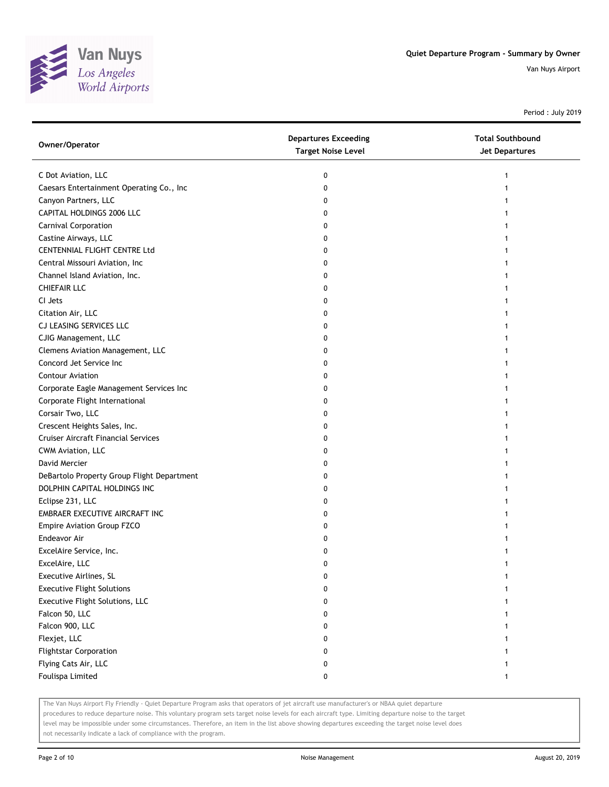

Period : July 2019

| Owner/Operator                             | <b>Departures Exceeding</b><br><b>Target Noise Level</b> | <b>Total Southbound</b><br><b>Jet Departures</b> |
|--------------------------------------------|----------------------------------------------------------|--------------------------------------------------|
| C Dot Aviation, LLC                        | 0                                                        |                                                  |
| Caesars Entertainment Operating Co., Inc   | 0                                                        |                                                  |
| Canyon Partners, LLC                       | 0                                                        |                                                  |
| CAPITAL HOLDINGS 2006 LLC                  | 0                                                        |                                                  |
| <b>Carnival Corporation</b>                | 0                                                        |                                                  |
| Castine Airways, LLC                       | 0                                                        |                                                  |
| CENTENNIAL FLIGHT CENTRE Ltd               | 0                                                        |                                                  |
| Central Missouri Aviation, Inc             | 0                                                        |                                                  |
| Channel Island Aviation, Inc.              | 0                                                        |                                                  |
| <b>CHIEFAIR LLC</b>                        | 0                                                        |                                                  |
| CI Jets                                    | 0                                                        |                                                  |
| Citation Air, LLC                          | 0                                                        |                                                  |
| CJ LEASING SERVICES LLC                    | 0                                                        |                                                  |
| CJIG Management, LLC                       | 0                                                        |                                                  |
| Clemens Aviation Management, LLC           | 0                                                        |                                                  |
| Concord Jet Service Inc                    | 0                                                        |                                                  |
| <b>Contour Aviation</b>                    | 0                                                        |                                                  |
| Corporate Eagle Management Services Inc    | 0                                                        |                                                  |
| Corporate Flight International             | 0                                                        |                                                  |
| Corsair Two, LLC                           | 0                                                        |                                                  |
| Crescent Heights Sales, Inc.               | 0                                                        |                                                  |
| <b>Cruiser Aircraft Financial Services</b> | 0                                                        |                                                  |
| CWM Aviation, LLC                          | 0                                                        |                                                  |
| David Mercier                              | 0                                                        |                                                  |
| DeBartolo Property Group Flight Department | 0                                                        |                                                  |
| DOLPHIN CAPITAL HOLDINGS INC               | 0                                                        |                                                  |
| Eclipse 231, LLC                           | 0                                                        |                                                  |
| EMBRAER EXECUTIVE AIRCRAFT INC             | 0                                                        |                                                  |
| <b>Empire Aviation Group FZCO</b>          | 0                                                        |                                                  |
| Endeavor Air                               | 0                                                        |                                                  |
| ExcelAire Service, Inc.                    | 0                                                        |                                                  |
| ExcelAire, LLC                             | 0                                                        |                                                  |
| Executive Airlines, SL                     | 0                                                        |                                                  |
| <b>Executive Flight Solutions</b>          | 0                                                        |                                                  |
| Executive Flight Solutions, LLC            | 0                                                        |                                                  |
| Falcon 50, LLC                             | 0                                                        |                                                  |
| Falcon 900, LLC                            | 0                                                        |                                                  |
| Flexjet, LLC                               | 0                                                        |                                                  |
| <b>Flightstar Corporation</b>              | 0                                                        |                                                  |
| Flying Cats Air, LLC                       | 0                                                        |                                                  |
| Foulispa Limited                           | 0                                                        | 1                                                |

The Van Nuys Airport Fly Friendly - Quiet Departure Program asks that operators of jet aircraft use manufacturer's or NBAA quiet departure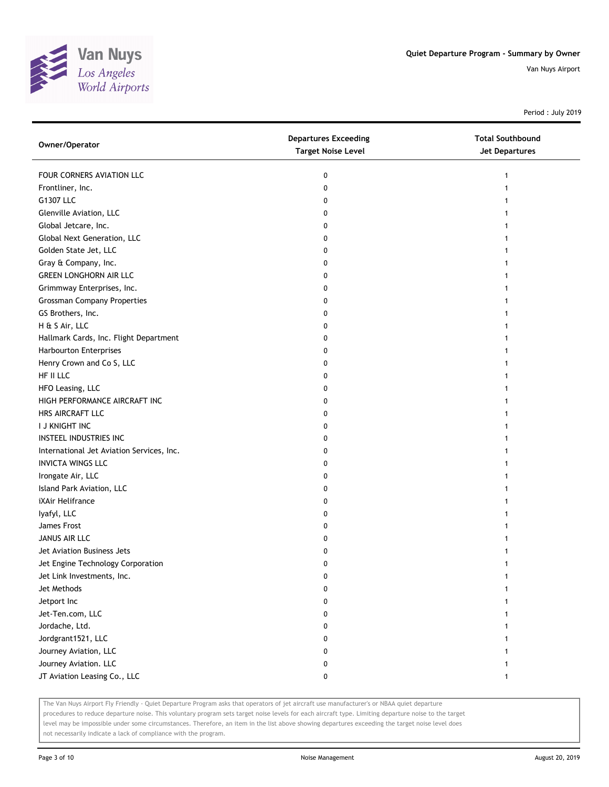

Period : July 2019

| Owner/Operator                            | <b>Departures Exceeding</b><br><b>Target Noise Level</b> | <b>Total Southbound</b><br><b>Jet Departures</b> |
|-------------------------------------------|----------------------------------------------------------|--------------------------------------------------|
| FOUR CORNERS AVIATION LLC                 | 0                                                        | 1                                                |
| Frontliner, Inc.                          | 0                                                        |                                                  |
| G1307 LLC                                 | 0                                                        |                                                  |
| Glenville Aviation, LLC                   | 0                                                        |                                                  |
| Global Jetcare, Inc.                      | 0                                                        |                                                  |
| Global Next Generation, LLC               | 0                                                        |                                                  |
| Golden State Jet, LLC                     | 0                                                        |                                                  |
| Gray & Company, Inc.                      | 0                                                        |                                                  |
| <b>GREEN LONGHORN AIR LLC</b>             | 0                                                        |                                                  |
| Grimmway Enterprises, Inc.                | 0                                                        |                                                  |
| <b>Grossman Company Properties</b>        | 0                                                        |                                                  |
| GS Brothers, Inc.                         | 0                                                        |                                                  |
| H & S Air, LLC                            | 0                                                        |                                                  |
| Hallmark Cards, Inc. Flight Department    | 0                                                        |                                                  |
| Harbourton Enterprises                    | 0                                                        |                                                  |
| Henry Crown and Co S, LLC                 | 0                                                        |                                                  |
| HF II LLC                                 | 0                                                        |                                                  |
| HFO Leasing, LLC                          | 0                                                        |                                                  |
| HIGH PERFORMANCE AIRCRAFT INC             | 0                                                        | 1                                                |
| HRS AIRCRAFT LLC                          | 0                                                        |                                                  |
| I J KNIGHT INC                            | 0                                                        |                                                  |
| INSTEEL INDUSTRIES INC                    | 0                                                        |                                                  |
| International Jet Aviation Services, Inc. | 0                                                        |                                                  |
| <b>INVICTA WINGS LLC</b>                  | 0                                                        |                                                  |
| Irongate Air, LLC                         | 0                                                        |                                                  |
| Island Park Aviation, LLC                 | 0                                                        |                                                  |
| iXAir Helifrance                          | 0                                                        |                                                  |
| lyafyl, LLC                               | 0                                                        |                                                  |
| James Frost                               | 0                                                        |                                                  |
| JANUS AIR LLC                             | 0                                                        |                                                  |
| Jet Aviation Business Jets                | 0                                                        |                                                  |
| Jet Engine Technology Corporation         | 0                                                        |                                                  |
| Jet Link Investments, Inc.                | 0                                                        |                                                  |
| Jet Methods                               | 0                                                        |                                                  |
| Jetport Inc                               | 0                                                        |                                                  |
| Jet-Ten.com, LLC                          | 0                                                        |                                                  |
| Jordache, Ltd.                            | 0                                                        |                                                  |
| Jordgrant1521, LLC                        | 0                                                        |                                                  |
| Journey Aviation, LLC                     | 0                                                        | 1                                                |
| Journey Aviation. LLC                     | 0                                                        | 1                                                |
| JT Aviation Leasing Co., LLC              | 0                                                        | 1                                                |

The Van Nuys Airport Fly Friendly - Quiet Departure Program asks that operators of jet aircraft use manufacturer's or NBAA quiet departure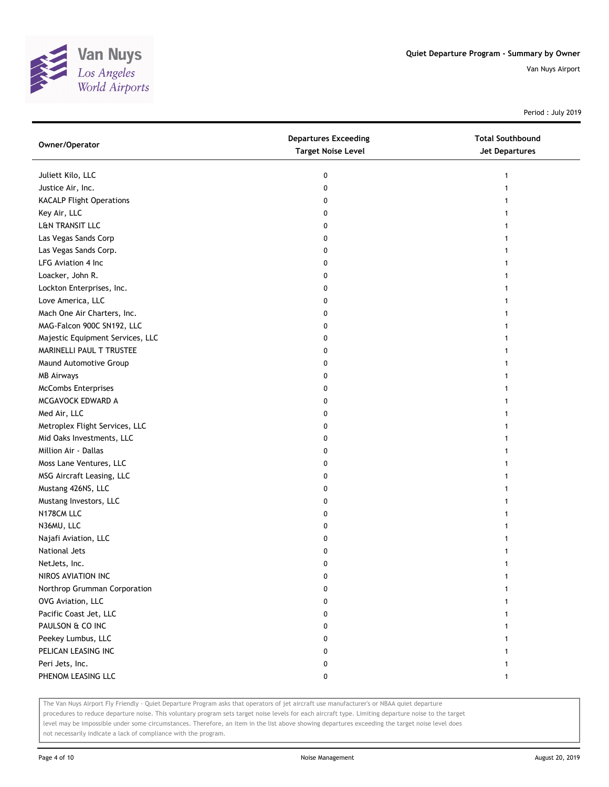

Period : July 2019

| Owner/Operator                   | <b>Departures Exceeding</b><br><b>Target Noise Level</b> | <b>Total Southbound</b><br><b>Jet Departures</b> |
|----------------------------------|----------------------------------------------------------|--------------------------------------------------|
| Juliett Kilo, LLC                | 0                                                        | 1                                                |
| Justice Air, Inc.                | 0                                                        |                                                  |
| <b>KACALP Flight Operations</b>  | 0                                                        |                                                  |
| Key Air, LLC                     | 0                                                        |                                                  |
| L&N TRANSIT LLC                  | 0                                                        |                                                  |
| Las Vegas Sands Corp             | 0                                                        |                                                  |
| Las Vegas Sands Corp.            | 0                                                        | 1                                                |
| LFG Aviation 4 Inc               | 0                                                        |                                                  |
| Loacker, John R.                 | 0                                                        |                                                  |
| Lockton Enterprises, Inc.        | 0                                                        |                                                  |
| Love America, LLC                | 0                                                        |                                                  |
| Mach One Air Charters, Inc.      | 0                                                        |                                                  |
| MAG-Falcon 900C SN192, LLC       | 0                                                        |                                                  |
| Majestic Equipment Services, LLC | 0                                                        |                                                  |
| MARINELLI PAUL T TRUSTEE         | 0                                                        |                                                  |
| Maund Automotive Group           | 0                                                        | 1                                                |
| <b>MB Airways</b>                | 0                                                        | 1                                                |
| <b>McCombs Enterprises</b>       | 0                                                        |                                                  |
| MCGAVOCK EDWARD A                | 0                                                        |                                                  |
| Med Air, LLC                     | 0                                                        |                                                  |
| Metroplex Flight Services, LLC   | 0                                                        |                                                  |
| Mid Oaks Investments, LLC        | 0                                                        |                                                  |
| Million Air - Dallas             | 0                                                        |                                                  |
| Moss Lane Ventures, LLC          | 0                                                        |                                                  |
| MSG Aircraft Leasing, LLC        | 0                                                        |                                                  |
| Mustang 426NS, LLC               | 0                                                        | 1                                                |
| Mustang Investors, LLC           | 0                                                        | 1                                                |
| N178CM LLC                       | 0                                                        | 1                                                |
| N36MU, LLC                       | 0                                                        |                                                  |
| Najafi Aviation, LLC             | 0                                                        |                                                  |
| National Jets                    | 0                                                        |                                                  |
| NetJets, Inc.                    | 0                                                        | 1                                                |
| NIROS AVIATION INC               | 0                                                        |                                                  |
| Northrop Grumman Corporation     | 0                                                        |                                                  |
| OVG Aviation, LLC                | 0                                                        |                                                  |
| Pacific Coast Jet, LLC           | 0                                                        |                                                  |
| PAULSON & CO INC                 | 0                                                        |                                                  |
| Peekey Lumbus, LLC               | 0                                                        |                                                  |
| PELICAN LEASING INC              | 0                                                        |                                                  |
| Peri Jets, Inc.                  | 0                                                        |                                                  |
| PHENOM LEASING LLC               | 0                                                        | 1                                                |

The Van Nuys Airport Fly Friendly - Quiet Departure Program asks that operators of jet aircraft use manufacturer's or NBAA quiet departure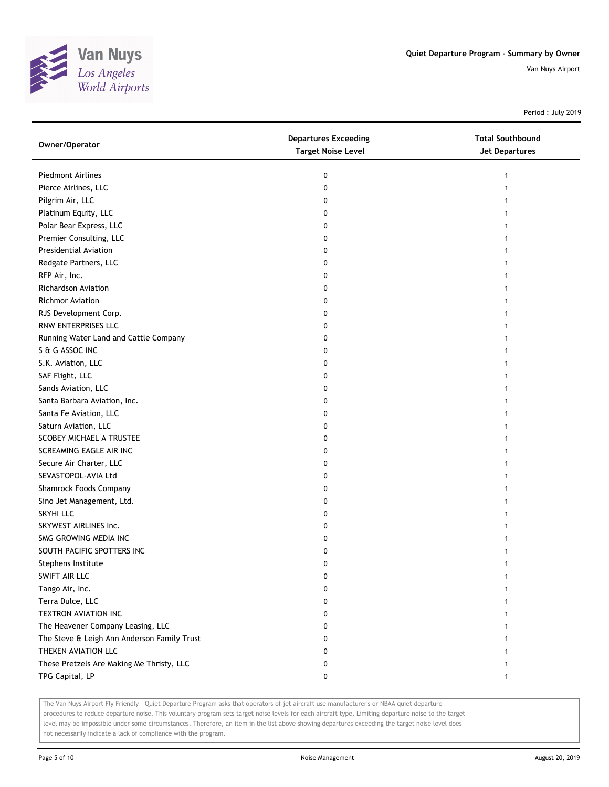

Period : July 2019

| Owner/Operator                              | <b>Departures Exceeding</b><br><b>Target Noise Level</b> | <b>Total Southbound</b><br><b>Jet Departures</b> |
|---------------------------------------------|----------------------------------------------------------|--------------------------------------------------|
| <b>Piedmont Airlines</b>                    | 0                                                        |                                                  |
| Pierce Airlines, LLC                        | 0                                                        |                                                  |
| Pilgrim Air, LLC                            | 0                                                        |                                                  |
| Platinum Equity, LLC                        | 0                                                        |                                                  |
| Polar Bear Express, LLC                     | 0                                                        |                                                  |
| Premier Consulting, LLC                     | 0                                                        |                                                  |
| Presidential Aviation                       | 0                                                        |                                                  |
| Redgate Partners, LLC                       | 0                                                        |                                                  |
| RFP Air, Inc.                               | 0                                                        |                                                  |
| <b>Richardson Aviation</b>                  | 0                                                        |                                                  |
| Richmor Aviation                            | 0                                                        |                                                  |
| RJS Development Corp.                       | 0                                                        |                                                  |
| RNW ENTERPRISES LLC                         | 0                                                        |                                                  |
| Running Water Land and Cattle Company       | 0                                                        |                                                  |
| S & G ASSOC INC                             | 0                                                        |                                                  |
| S.K. Aviation, LLC                          | 0                                                        |                                                  |
| SAF Flight, LLC                             | 0                                                        |                                                  |
| Sands Aviation, LLC                         | 0                                                        |                                                  |
| Santa Barbara Aviation, Inc.                | 0                                                        |                                                  |
| Santa Fe Aviation, LLC                      | 0                                                        |                                                  |
| Saturn Aviation, LLC                        | 0                                                        |                                                  |
| SCOBEY MICHAEL A TRUSTEE                    | 0                                                        |                                                  |
| SCREAMING EAGLE AIR INC                     | 0                                                        |                                                  |
| Secure Air Charter, LLC                     | 0                                                        |                                                  |
| SEVASTOPOL-AVIA Ltd                         | 0                                                        |                                                  |
| Shamrock Foods Company                      | 0                                                        |                                                  |
| Sino Jet Management, Ltd.                   | 0                                                        |                                                  |
| SKYHI LLC                                   | 0                                                        |                                                  |
| SKYWEST AIRLINES Inc.                       | 0                                                        |                                                  |
| SMG GROWING MEDIA INC                       | 0                                                        |                                                  |
| SOUTH PACIFIC SPOTTERS INC                  | 0                                                        |                                                  |
| Stephens Institute                          | 0                                                        |                                                  |
| SWIFT AIR LLC                               | 0                                                        |                                                  |
| Tango Air, Inc.                             | 0                                                        |                                                  |
| Terra Dulce, LLC                            | 0                                                        |                                                  |
| TEXTRON AVIATION INC                        | 0                                                        |                                                  |
| The Heavener Company Leasing, LLC           | 0                                                        |                                                  |
| The Steve & Leigh Ann Anderson Family Trust | 0                                                        |                                                  |
| THEKEN AVIATION LLC                         | 0                                                        |                                                  |
| These Pretzels Are Making Me Thristy, LLC   | 0                                                        |                                                  |
| TPG Capital, LP                             | 0                                                        | 1                                                |

The Van Nuys Airport Fly Friendly - Quiet Departure Program asks that operators of jet aircraft use manufacturer's or NBAA quiet departure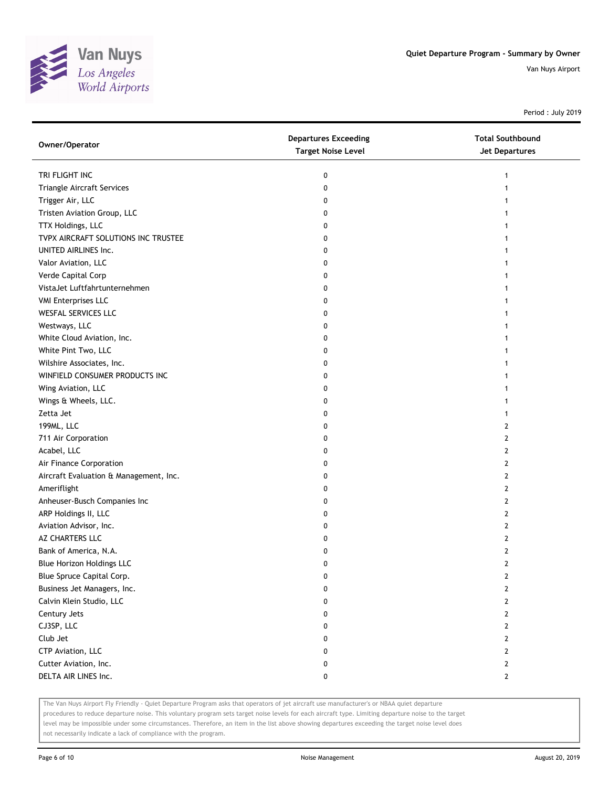

Period : July 2019

| Owner/Operator                         | <b>Departures Exceeding</b><br><b>Target Noise Level</b> | <b>Total Southbound</b><br><b>Jet Departures</b> |
|----------------------------------------|----------------------------------------------------------|--------------------------------------------------|
| TRI FLIGHT INC                         | 0                                                        | 1                                                |
| Triangle Aircraft Services             | 0                                                        |                                                  |
| Trigger Air, LLC                       | 0                                                        |                                                  |
| Tristen Aviation Group, LLC            | 0                                                        |                                                  |
| TTX Holdings, LLC                      | 0                                                        |                                                  |
| TVPX AIRCRAFT SOLUTIONS INC TRUSTEE    | 0                                                        |                                                  |
| UNITED AIRLINES Inc.                   | 0                                                        |                                                  |
| Valor Aviation, LLC                    | 0                                                        |                                                  |
| Verde Capital Corp                     | 0                                                        |                                                  |
| VistaJet Luftfahrtunternehmen          | 0                                                        |                                                  |
| <b>VMI Enterprises LLC</b>             | 0                                                        |                                                  |
| WESFAL SERVICES LLC                    | 0                                                        |                                                  |
| Westways, LLC                          | 0                                                        |                                                  |
| White Cloud Aviation, Inc.             | 0                                                        |                                                  |
| White Pint Two, LLC                    | 0                                                        |                                                  |
| Wilshire Associates, Inc.              | 0                                                        |                                                  |
| WINFIELD CONSUMER PRODUCTS INC         | 0                                                        | 1                                                |
| Wing Aviation, LLC                     | 0                                                        | 1                                                |
| Wings & Wheels, LLC.                   | 0                                                        |                                                  |
| Zetta Jet                              | 0                                                        |                                                  |
| 199ML, LLC                             | 0                                                        | 2                                                |
| 711 Air Corporation                    | 0                                                        | 2                                                |
| Acabel, LLC                            | 0                                                        | 2                                                |
| Air Finance Corporation                | 0                                                        | 2                                                |
| Aircraft Evaluation & Management, Inc. | 0                                                        | 2                                                |
| Ameriflight                            | 0                                                        | 2                                                |
| Anheuser-Busch Companies Inc           | 0                                                        | 2                                                |
| ARP Holdings II, LLC                   | 0                                                        | 2                                                |
| Aviation Advisor, Inc.                 | 0                                                        | 2                                                |
| AZ CHARTERS LLC                        | 0                                                        | 2                                                |
| Bank of America, N.A.                  | 0                                                        | 2                                                |
| <b>Blue Horizon Holdings LLC</b>       | 0                                                        | $\overline{2}$                                   |
| Blue Spruce Capital Corp.              | U                                                        | $\mathbf{z}$                                     |
| Business Jet Managers, Inc.            | 0                                                        | 2                                                |
| Calvin Klein Studio, LLC               | 0                                                        | $\mathbf{2}$                                     |
| Century Jets                           | 0                                                        | 2                                                |
| CJ3SP, LLC                             | 0                                                        | 2                                                |
| Club Jet                               | 0                                                        | 2                                                |
| CTP Aviation, LLC                      | 0                                                        | $\mathbf{2}$                                     |
| Cutter Aviation, Inc.                  | 0                                                        | $\mathbf{2}$                                     |
| DELTA AIR LINES Inc.                   | 0                                                        | $\mathbf{2}$                                     |

The Van Nuys Airport Fly Friendly - Quiet Departure Program asks that operators of jet aircraft use manufacturer's or NBAA quiet departure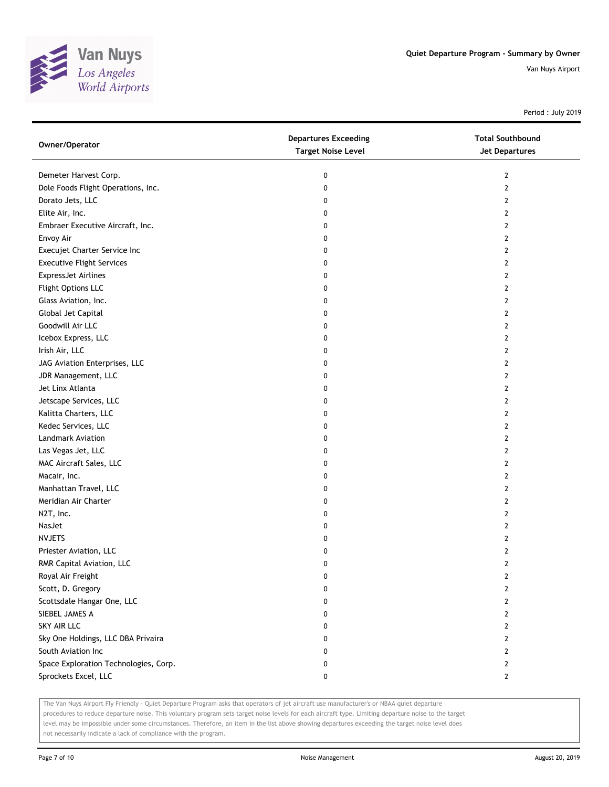

Period : July 2019

| Owner/Operator                        | <b>Departures Exceeding</b><br><b>Target Noise Level</b> | <b>Total Southbound</b><br><b>Jet Departures</b> |
|---------------------------------------|----------------------------------------------------------|--------------------------------------------------|
| Demeter Harvest Corp.                 | 0                                                        | 2                                                |
| Dole Foods Flight Operations, Inc.    | 0                                                        | $\overline{2}$                                   |
| Dorato Jets, LLC                      | 0                                                        | 2                                                |
| Elite Air, Inc.                       | 0                                                        | 2                                                |
| Embraer Executive Aircraft, Inc.      | 0                                                        | 2                                                |
| Envoy Air                             | 0                                                        | $\overline{2}$                                   |
| Execujet Charter Service Inc          | 0                                                        | 2                                                |
| <b>Executive Flight Services</b>      | 0                                                        | 2                                                |
| <b>ExpressJet Airlines</b>            | 0                                                        | 2                                                |
| Flight Options LLC                    | 0                                                        | 2                                                |
| Glass Aviation, Inc.                  | 0                                                        | $\mathbf{2}$                                     |
| Global Jet Capital                    | 0                                                        | 2                                                |
| Goodwill Air LLC                      | 0                                                        | 2                                                |
| Icebox Express, LLC                   | 0                                                        | 2                                                |
| Irish Air, LLC                        | 0                                                        | 2                                                |
| JAG Aviation Enterprises, LLC         | 0                                                        | $\overline{2}$                                   |
| JDR Management, LLC                   | 0                                                        | 2                                                |
| Jet Linx Atlanta                      | 0                                                        | 2                                                |
| Jetscape Services, LLC                | 0                                                        | 2                                                |
| Kalitta Charters, LLC                 | 0                                                        | 2                                                |
| Kedec Services, LLC                   | 0                                                        | $\mathbf{2}$                                     |
| Landmark Aviation                     | 0                                                        | 2                                                |
| Las Vegas Jet, LLC                    | 0                                                        | 2                                                |
| MAC Aircraft Sales, LLC               | 0                                                        | 2                                                |
| Macair, Inc.                          | 0                                                        | 2                                                |
| Manhattan Travel, LLC                 | 0                                                        | $\overline{2}$                                   |
| Meridian Air Charter                  | 0                                                        | 2                                                |
| N2T, Inc.                             | 0                                                        | 2                                                |
| NasJet                                | 0                                                        | 2                                                |
| <b>NVJETS</b>                         | 0                                                        | $\overline{2}$                                   |
| Priester Aviation, LLC                | 0                                                        | 2                                                |
| RMR Capital Aviation, LLC             | 0                                                        | $\overline{2}$                                   |
| Royal Air Freight                     | 0                                                        | 2                                                |
| Scott, D. Gregory                     | 0                                                        | 2                                                |
| Scottsdale Hangar One, LLC            | 0                                                        | $\mathbf{2}$                                     |
| SIEBEL JAMES A                        | 0                                                        | $\mathbf{2}$                                     |
| SKY AIR LLC                           | 0                                                        | 2                                                |
| Sky One Holdings, LLC DBA Privaira    | 0                                                        | 2                                                |
| South Aviation Inc                    | 0                                                        | 2                                                |
| Space Exploration Technologies, Corp. | 0                                                        | $\overline{2}$                                   |
| Sprockets Excel, LLC                  | 0                                                        | $\mathbf{2}$                                     |

The Van Nuys Airport Fly Friendly - Quiet Departure Program asks that operators of jet aircraft use manufacturer's or NBAA quiet departure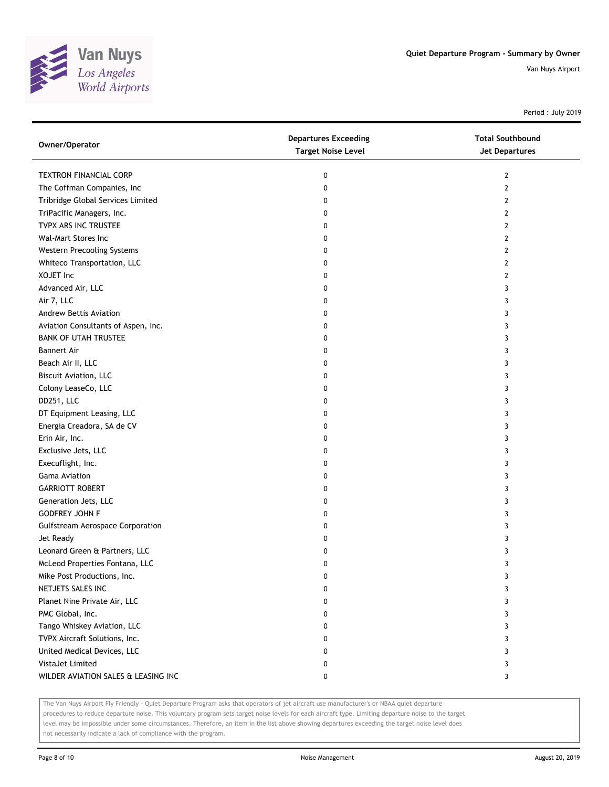

Period : July 2019

| Owner/Operator                          | <b>Departures Exceeding</b><br><b>Target Noise Level</b> | <b>Total Southbound</b><br>Jet Departures |
|-----------------------------------------|----------------------------------------------------------|-------------------------------------------|
| <b>TEXTRON FINANCIAL CORP</b>           | 0                                                        | 2                                         |
| The Coffman Companies, Inc              | 0                                                        | 2                                         |
| Tribridge Global Services Limited       | 0                                                        | 2                                         |
| TriPacific Managers, Inc.               | 0                                                        | 2                                         |
| TVPX ARS INC TRUSTEE                    | 0                                                        | 2                                         |
| Wal-Mart Stores Inc                     | 0                                                        | 2                                         |
| Western Precooling Systems              | 0                                                        | 2                                         |
| Whiteco Transportation, LLC             | 0                                                        | 2                                         |
| XOJET Inc                               | 0                                                        | 2                                         |
| Advanced Air, LLC                       | 0                                                        | 3                                         |
| Air 7, LLC                              | 0                                                        | 3                                         |
| Andrew Bettis Aviation                  | 0                                                        | 3                                         |
| Aviation Consultants of Aspen, Inc.     | 0                                                        | 3                                         |
| <b>BANK OF UTAH TRUSTEE</b>             | 0                                                        | 3                                         |
| <b>Bannert Air</b>                      | 0                                                        | 3                                         |
| Beach Air II, LLC                       | 0                                                        | 3                                         |
| <b>Biscuit Aviation, LLC</b>            | 0                                                        | 3                                         |
| Colony LeaseCo, LLC                     | 0                                                        | 3                                         |
| DD251, LLC                              | 0                                                        | 3                                         |
| DT Equipment Leasing, LLC               | 0                                                        | 3                                         |
| Energia Creadora, SA de CV              | 0                                                        | 3                                         |
| Erin Air, Inc.                          | 0                                                        | 3                                         |
| Exclusive Jets, LLC                     | 0                                                        | 3                                         |
| Execuflight, Inc.                       | 0                                                        | 3                                         |
| <b>Gama Aviation</b>                    | 0                                                        | 3                                         |
| <b>GARRIOTT ROBERT</b>                  | 0                                                        | 3                                         |
| Generation Jets, LLC                    | 0                                                        | 3                                         |
| <b>GODFREY JOHN F</b>                   | 0                                                        | 3                                         |
| <b>Gulfstream Aerospace Corporation</b> | 0                                                        | 3                                         |
| Jet Ready                               | 0                                                        | 3                                         |
| Leonard Green & Partners, LLC           | 0                                                        | 3                                         |
| McLeod Properties Fontana, LLC          | 0                                                        | 3                                         |
| Mike Post Productions, Inc.             | 0                                                        | 3                                         |
| NETJETS SALES INC                       | 0                                                        | 3                                         |
| Planet Nine Private Air, LLC            | 0                                                        | 3                                         |
| PMC Global, Inc.                        | 0                                                        | 3                                         |
| Tango Whiskey Aviation, LLC             | 0                                                        | 3                                         |
| TVPX Aircraft Solutions, Inc.           | 0                                                        | 3                                         |
| United Medical Devices, LLC             | 0                                                        | 3                                         |
| VistaJet Limited                        | 0                                                        | 3                                         |
| WILDER AVIATION SALES & LEASING INC     | 0                                                        | 3                                         |

The Van Nuys Airport Fly Friendly - Quiet Departure Program asks that operators of jet aircraft use manufacturer's or NBAA quiet departure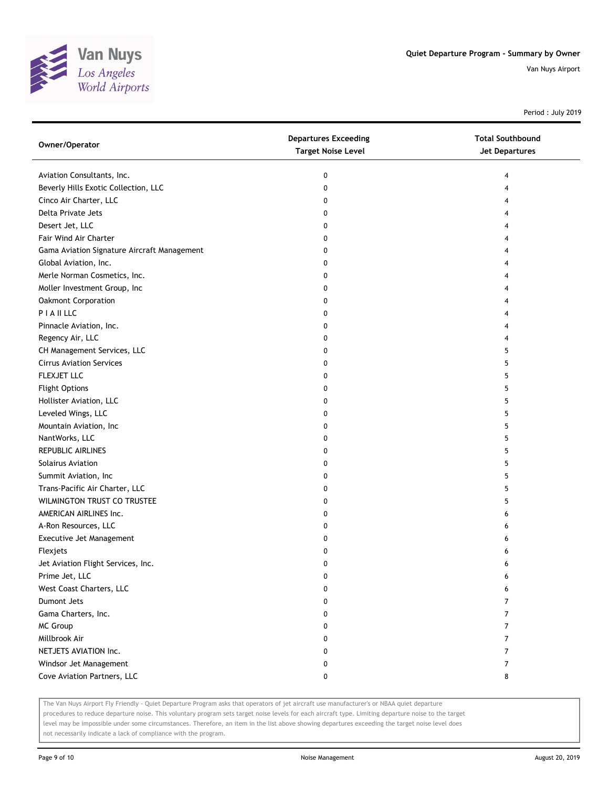

Period : July 2019

| Owner/Operator                              | <b>Departures Exceeding</b><br><b>Target Noise Level</b> | <b>Total Southbound</b><br><b>Jet Departures</b> |
|---------------------------------------------|----------------------------------------------------------|--------------------------------------------------|
| Aviation Consultants, Inc.                  | 0                                                        | 4                                                |
| Beverly Hills Exotic Collection, LLC        | 0                                                        | 4                                                |
| Cinco Air Charter, LLC                      | 0                                                        | 4                                                |
| Delta Private Jets                          | 0                                                        | 4                                                |
| Desert Jet, LLC                             | 0                                                        | 4                                                |
| Fair Wind Air Charter                       | 0                                                        | 4                                                |
| Gama Aviation Signature Aircraft Management | 0                                                        | 4                                                |
| Global Aviation, Inc.                       | 0                                                        | 4                                                |
| Merle Norman Cosmetics, Inc.                | 0                                                        | 4                                                |
| Moller Investment Group, Inc                | 0                                                        | 4                                                |
| Oakmont Corporation                         | 0                                                        |                                                  |
| PIAILLC                                     | 0                                                        |                                                  |
| Pinnacle Aviation, Inc.                     | 0                                                        |                                                  |
| Regency Air, LLC                            | 0                                                        | 4                                                |
| CH Management Services, LLC                 | 0                                                        | 5                                                |
| <b>Cirrus Aviation Services</b>             | 0                                                        | 5                                                |
| FLEXJET LLC                                 | 0                                                        | 5                                                |
| <b>Flight Options</b>                       | 0                                                        | 5                                                |
| Hollister Aviation, LLC                     | 0                                                        | 5                                                |
| Leveled Wings, LLC                          | 0                                                        | 5                                                |
| Mountain Aviation, Inc                      | 0                                                        | 5                                                |
| NantWorks, LLC                              | 0                                                        | 5                                                |
| REPUBLIC AIRLINES                           | 0                                                        | 5                                                |
| Solairus Aviation                           | 0                                                        | 5                                                |
| Summit Aviation, Inc                        | 0                                                        | 5                                                |
| Trans-Pacific Air Charter, LLC              | 0                                                        | 5                                                |
| WILMINGTON TRUST CO TRUSTEE                 | 0                                                        | 5                                                |
| AMERICAN AIRLINES Inc.                      | 0                                                        | 6                                                |
| A-Ron Resources, LLC                        | 0                                                        | 6                                                |
| Executive Jet Management                    | 0                                                        | 6                                                |
| Flexjets                                    | 0                                                        | 6                                                |
| Jet Aviation Flight Services, Inc.          | 0                                                        | 6                                                |
| Prime Jet, LLC                              | o                                                        | 6                                                |
| West Coast Charters, LLC                    | 0                                                        | 6                                                |
| <b>Dumont Jets</b>                          | 0                                                        | 7                                                |
| Gama Charters, Inc.                         | 0                                                        | 7                                                |
| MC Group                                    | 0                                                        | 7                                                |
| Millbrook Air                               | 0                                                        | 7                                                |
| NETJETS AVIATION Inc.                       | 0                                                        | 7                                                |
| Windsor Jet Management                      | 0                                                        | 7                                                |
| Cove Aviation Partners, LLC                 | 0                                                        | 8                                                |

The Van Nuys Airport Fly Friendly - Quiet Departure Program asks that operators of jet aircraft use manufacturer's or NBAA quiet departure